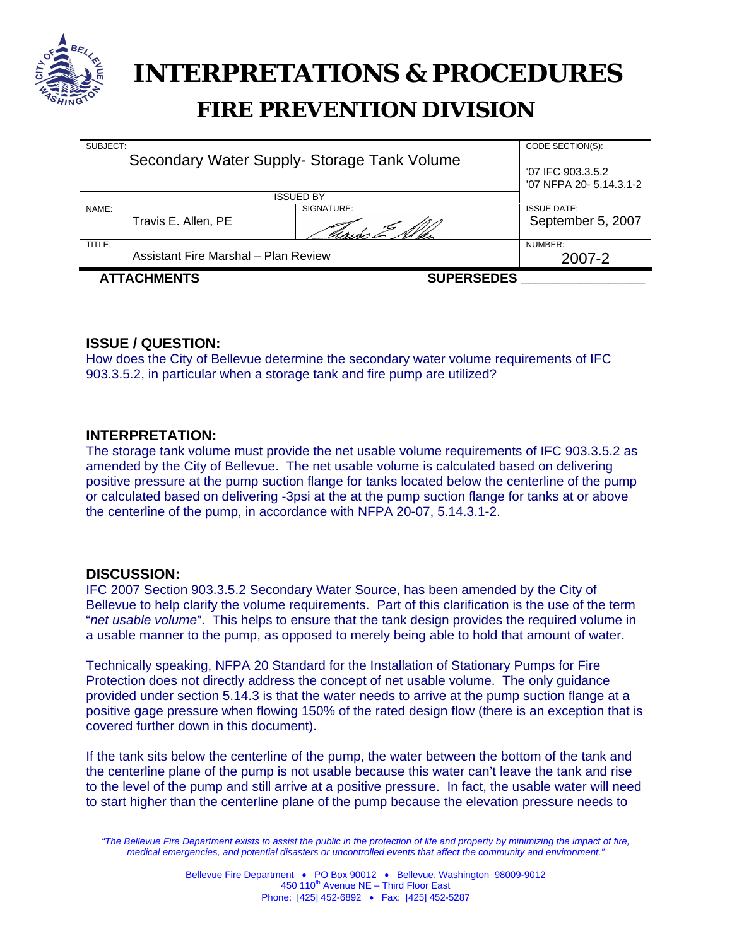

# **INTERPRETATIONS & PROCEDURES FIRE PREVENTION DIVISION**

| <b>ATTACHMENTS</b>                   |                     | <b>SUPERSEDES</b>                          |                                              |
|--------------------------------------|---------------------|--------------------------------------------|----------------------------------------------|
| Assistant Fire Marshal - Plan Review |                     |                                            | 2007-2                                       |
| TITLE:                               |                     |                                            | NUMBER:                                      |
|                                      | Travis E. Allen, PE |                                            | September 5, 2007                            |
| NAME:                                |                     | SIGNATURE:                                 | <b>ISSUE DATE:</b>                           |
| ISSUED BY                            |                     |                                            |                                              |
|                                      |                     | Secondary Water Supply-Storage Tank Volume | '07 IFC 903.3.5.2<br>'07 NFPA 20- 5.14.3.1-2 |
| SUBJECT:                             |                     |                                            | CODE SECTION(S):                             |

# **ISSUE / QUESTION:**

How does the City of Bellevue determine the secondary water volume requirements of IFC 903.3.5.2, in particular when a storage tank and fire pump are utilized?

### **INTERPRETATION:**

The storage tank volume must provide the net usable volume requirements of IFC 903.3.5.2 as amended by the City of Bellevue. The net usable volume is calculated based on delivering positive pressure at the pump suction flange for tanks located below the centerline of the pump or calculated based on delivering -3psi at the at the pump suction flange for tanks at or above the centerline of the pump, in accordance with NFPA 20-07, 5.14.3.1-2.

#### **DISCUSSION:**

IFC 2007 Section 903.3.5.2 Secondary Water Source, has been amended by the City of Bellevue to help clarify the volume requirements. Part of this clarification is the use of the term "*net usable volume*". This helps to ensure that the tank design provides the required volume in a usable manner to the pump, as opposed to merely being able to hold that amount of water.

Technically speaking, NFPA 20 Standard for the Installation of Stationary Pumps for Fire Protection does not directly address the concept of net usable volume. The only guidance provided under section 5.14.3 is that the water needs to arrive at the pump suction flange at a positive gage pressure when flowing 150% of the rated design flow (there is an exception that is covered further down in this document).

If the tank sits below the centerline of the pump, the water between the bottom of the tank and the centerline plane of the pump is not usable because this water can't leave the tank and rise to the level of the pump and still arrive at a positive pressure. In fact, the usable water will need to start higher than the centerline plane of the pump because the elevation pressure needs to

*<sup>&</sup>quot;The Bellevue Fire Department exists to assist the public in the protection of life and property by minimizing the impact of fire, medical emergencies, and potential disasters or uncontrolled events that affect the community and environment."*